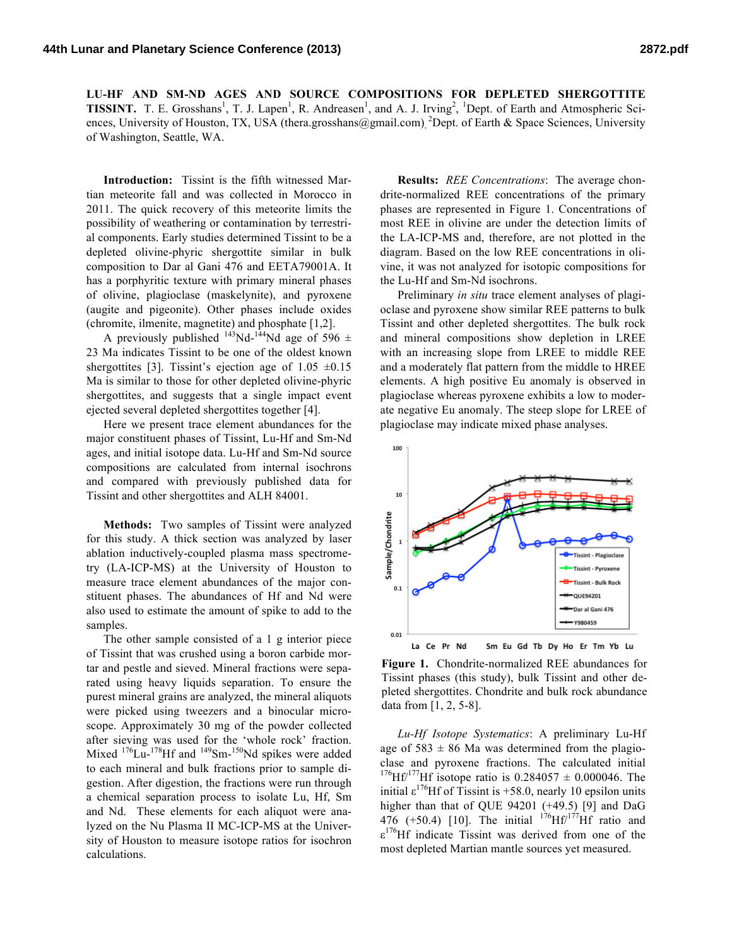**LU-HF AND SM-ND AGES AND SOURCE COMPOSITIONS FOR DEPLETED SHERGOTTITE TISSINT.** T. E. Grosshans<sup>1</sup>, T. J. Lapen<sup>1</sup>, R. Andreasen<sup>1</sup>, and A. J. Irving<sup>2</sup>, <sup>1</sup>Dept. of Earth and Atmospheric Sciences, University of Houston, TX, USA (thera.grosshans@gmail.com), <sup>2</sup>Dept. of Earth & Space Sciences, University of Washington, Seattle, WA.

**Introduction:** Tissint is the fifth witnessed Martian meteorite fall and was collected in Morocco in 2011. The quick recovery of this meteorite limits the possibility of weathering or contamination by terrestrial components. Early studies determined Tissint to be a depleted olivine-phyric shergottite similar in bulk composition to Dar al Gani 476 and EETA79001A. It has a porphyritic texture with primary mineral phases of olivine, plagioclase (maskelynite), and pyroxene (augite and pigeonite). Other phases include oxides (chromite, ilmenite, magnetite) and phosphate [1,2].

A previously published <sup>143</sup>Nd-<sup>144</sup>Nd age of 596  $\pm$ 23 Ma indicates Tissint to be one of the oldest known shergottites [3]. Tissint's ejection age of  $1.05 \pm 0.15$ Ma is similar to those for other depleted olivine-phyric shergottites, and suggests that a single impact event ejected several depleted shergottites together [4].

Here we present trace element abundances for the major constituent phases of Tissint, Lu-Hf and Sm-Nd ages, and initial isotope data. Lu-Hf and Sm-Nd source compositions are calculated from internal isochrons and compared with previously published data for Tissint and other shergottites and ALH 84001.

**Methods:** Two samples of Tissint were analyzed for this study. A thick section was analyzed by laser ablation inductively-coupled plasma mass spectrometry (LA-ICP-MS) at the University of Houston to measure trace element abundances of the major constituent phases. The abundances of Hf and Nd were also used to estimate the amount of spike to add to the samples.

The other sample consisted of a 1 g interior piece of Tissint that was crushed using a boron carbide mortar and pestle and sieved. Mineral fractions were separated using heavy liquids separation. To ensure the purest mineral grains are analyzed, the mineral aliquots were picked using tweezers and a binocular microscope. Approximately 30 mg of the powder collected after sieving was used for the 'whole rock' fraction. Mixed  $^{176}$ Lu- $^{178}$ Hf and  $^{149}$ Sm- $^{150}$ Nd spikes were added to each mineral and bulk fractions prior to sample digestion. After digestion, the fractions were run through a chemical separation process to isolate Lu, Hf, Sm and Nd. These elements for each aliquot were analyzed on the Nu Plasma II MC-ICP-MS at the University of Houston to measure isotope ratios for isochron calculations.

**Results:** *REE Concentrations*: The average chondrite-normalized REE concentrations of the primary phases are represented in Figure 1. Concentrations of most REE in olivine are under the detection limits of the LA-ICP-MS and, therefore, are not plotted in the diagram. Based on the low REE concentrations in olivine, it was not analyzed for isotopic compositions for the Lu-Hf and Sm-Nd isochrons.

Preliminary *in situ* trace element analyses of plagioclase and pyroxene show similar REE patterns to bulk Tissint and other depleted shergottites. The bulk rock and mineral compositions show depletion in LREE with an increasing slope from LREE to middle REE and a moderately flat pattern from the middle to HREE elements. A high positive Eu anomaly is observed in plagioclase whereas pyroxene exhibits a low to moderate negative Eu anomaly. The steep slope for LREE of plagioclase may indicate mixed phase analyses.



**Figure 1.** Chondrite-normalized REE abundances for Tissint phases (this study), bulk Tissint and other depleted shergottites. Chondrite and bulk rock abundance data from [1, 2, 5-8].

*Lu-Hf Isotope Systematics*: A preliminary Lu-Hf age of  $583 \pm 86$  Ma was determined from the plagioclase and pyroxene fractions. The calculated initial  $^{176}$ Hf/<sup>177</sup>Hf isotope ratio is 0.284057  $\pm$  0.000046. The initial  $\varepsilon^{176}$ Hf of Tissint is +58.0, nearly 10 epsilon units higher than that of QUE 94201 (+49.5) [9] and DaG 476 (+50.4) [10]. The initial  $176$ <sup>176</sup>Hf/<sup>177</sup>Hf ratio and  $\epsilon^{176}$ Hf indicate Tissint was derived from one of the most depleted Martian mantle sources yet measured.